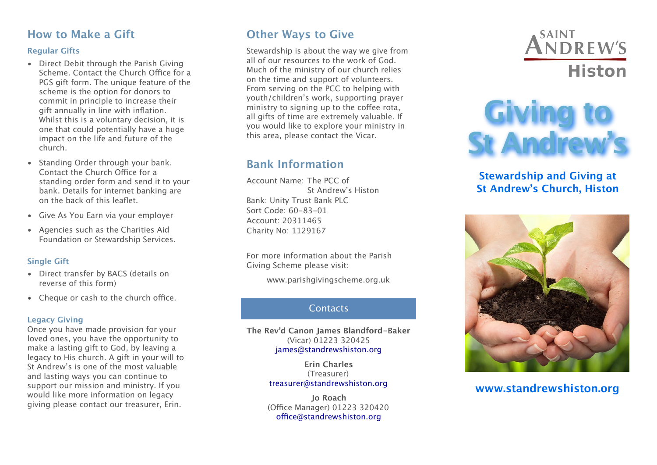## **How to Make a Gift**

#### **Regular Gifts**

- Direct Debit through the Parish Giving Scheme. Contact the Church Office for a PGS gift form. The unique feature of the scheme is the option for donors to commit in principle to increase their gift annually in line with inflation. Whilst this is a voluntary decision, it is one that could potentially have a huge impact on the life and future of the church.
- Standing Order through your bank. Contact the Church Office for a standing order form and send it to your bank. Details for internet banking are on the back of this leaflet.
- Give As You Earn via your employer
- Agencies such as the Charities Aid Foundation or Stewardship Services.

#### **Single Gift**

- Direct transfer by BACS (details on reverse of this form)
- $\bullet$  Cheque or cash to the church office.

#### **Legacy Giving**

Once you have made provision for your loved ones, you have the opportunity to make a lasting gift to God, by leaving a legacy to His church. A gift in your will to St Andrew's is one of the most valuable and lasting ways you can continue to support our mission and ministry. If you would like more information on legacy giving please contact our treasurer, Erin.

## **Other Ways to Give**

Stewardship is about the way we give from all of our resources to the work of God. Much of the ministry of our church relies on the time and support of volunteers. From serving on the PCC to helping with youth/children's work, supporting prayer ministry to signing up to the coffee rota, all gifts of time are extremely valuable. If you would like to explore your ministry in this area, please contact the Vicar.

## **Bank Information**

Account Name: The PCC of St Andrew's Histon Bank: Unity Trust Bank PLC Sort Code: 60-83-01 Account: 20311465 Charity No: 1129167

For more information about the Parish Giving Scheme please visit:

www.parishgivingscheme.org.uk

#### **Contacts**

**The Rev'd Canon James Blandford-Baker** (Vicar) 01223 320425 [james@standrewshiston.org](mailto:james@standrewshiston.org)

> **Erin Charles** (Treasurer) [treasurer@standrewshiston.org](mailto:kieran@standrewshiston.org)

**Jo Roach** (Office Manager) 01223 320420 offi[ce@standrewshiston.org](mailto:office@standrewshiston.org)



# **Giving to St Andrew's**

#### **Stewardship and Giving at St Andrew's Church, Histon**



### **www.standrewshiston.org**